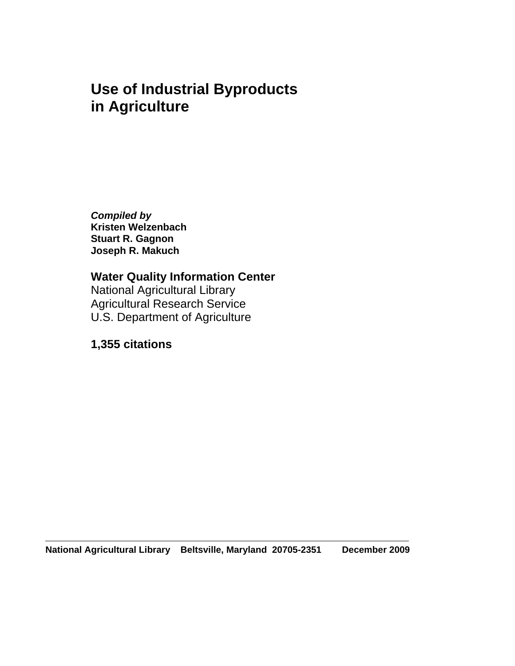## **Use of Industrial Byproducts in Agriculture**

*Compiled by*  **Kristen Welzenbach Stuart R. Gagnon Joseph R. Makuch** 

**Water Quality Information Center**  National Agricultural Library Agricultural Research Service U.S. Department of Agriculture

## **1,355 citations**